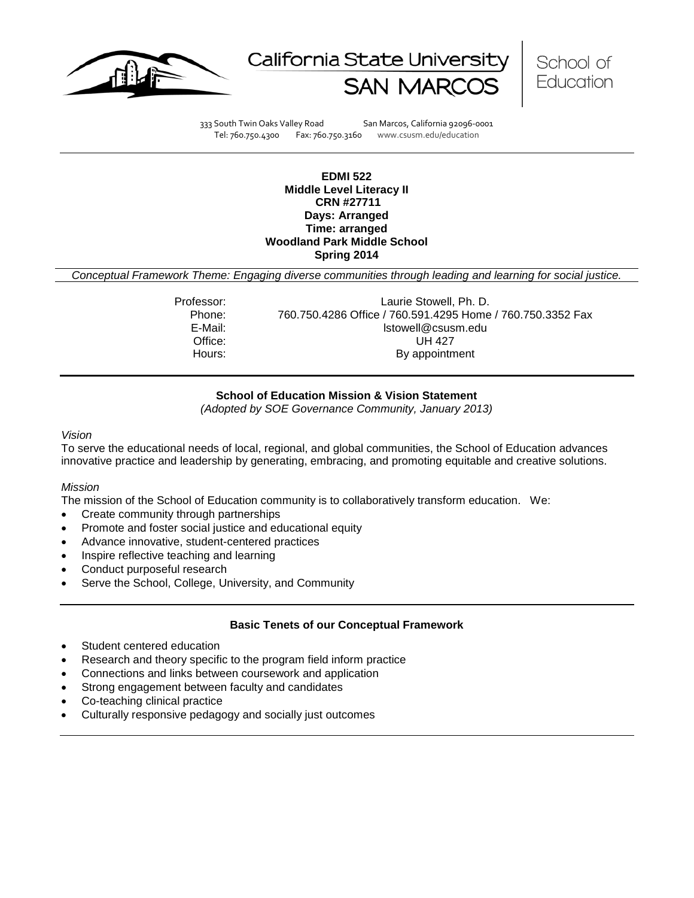





333 South Twin Oaks Valley Road San Marcos, California 92096-0001 Tel: 760.750.4300 Fax: 760.750.3160 www.csusm.edu/education

### **EDMI 522 Middle Level Literacy II CRN #27711 Days: Arranged Time: arranged Woodland Park Middle School Spring 2014**

*Conceptual Framework Theme: Engaging diverse communities through leading and learning for social justice.*

Professor: Laurie Stowell, Ph. D. Phone: 760.750.4286 Office / 760.591.4295 Home / 760.750.3352 Fax<br>E-Mail: Istowell@csusm.edu lstowell@csusm.edu Office: UH 427 Hours: By appointment

# **School of Education Mission & Vision Statement**

*(Adopted by SOE Governance Community, January 2013)*

#### <span id="page-0-0"></span>*Vision*

To serve the educational needs of local, regional, and global communities, the School of Education advances innovative practice and leadership by generating, embracing, and promoting equitable and creative solutions.

### *Mission*

The mission of the School of Education community is to collaboratively transform education. We:

- Create community through partnerships
- Promote and foster social justice and educational equity
- Advance innovative, student-centered practices
- Inspire reflective teaching and learning
- Conduct purposeful research
- Serve the School, College, University, and Community

### **Basic Tenets of our Conceptual Framework**

- Student centered education
- Research and theory specific to the program field inform practice
- Connections and links between coursework and application
- Strong engagement between faculty and candidates
- Co-teaching clinical practice
- Culturally responsive pedagogy and socially just outcomes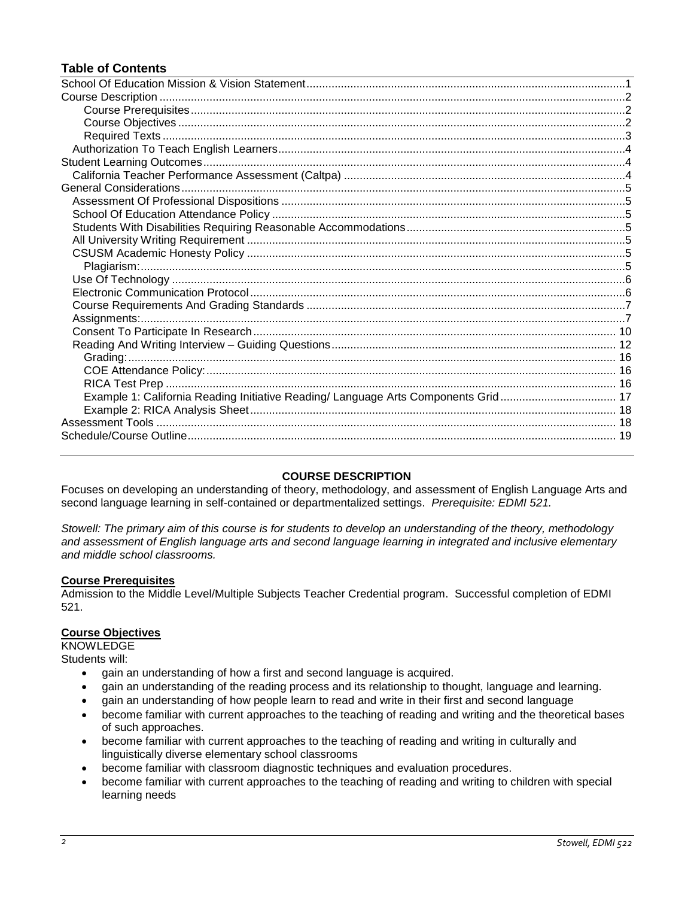# **Table of Contents**

| Example 1: California Reading Initiative Reading/ Language Arts Components Grid 17 |  |
|------------------------------------------------------------------------------------|--|
|                                                                                    |  |
|                                                                                    |  |
|                                                                                    |  |
|                                                                                    |  |

# **COURSE DESCRIPTION**

<span id="page-1-0"></span>Focuses on developing an understanding of theory, methodology, and assessment of English Language Arts and second language learning in self-contained or departmentalized settings. *Prerequisite: EDMI 521.*

*Stowell: The primary aim of this course is for students to develop an understanding of the theory, methodology and assessment of English language arts and second language learning in integrated and inclusive elementary and middle school classrooms.*

# <span id="page-1-1"></span>**Course Prerequisites**

Admission to the Middle Level/Multiple Subjects Teacher Credential program. Successful completion of EDMI 521.

### <span id="page-1-2"></span>**Course Objectives**

KNOWLEDGE

Students will:

- gain an understanding of how a first and second language is acquired.
- gain an understanding of the reading process and its relationship to thought, language and learning.
- gain an understanding of how people learn to read and write in their first and second language
- become familiar with current approaches to the teaching of reading and writing and the theoretical bases of such approaches.
- become familiar with current approaches to the teaching of reading and writing in culturally and linguistically diverse elementary school classrooms
- become familiar with classroom diagnostic techniques and evaluation procedures.
- become familiar with current approaches to the teaching of reading and writing to children with special learning needs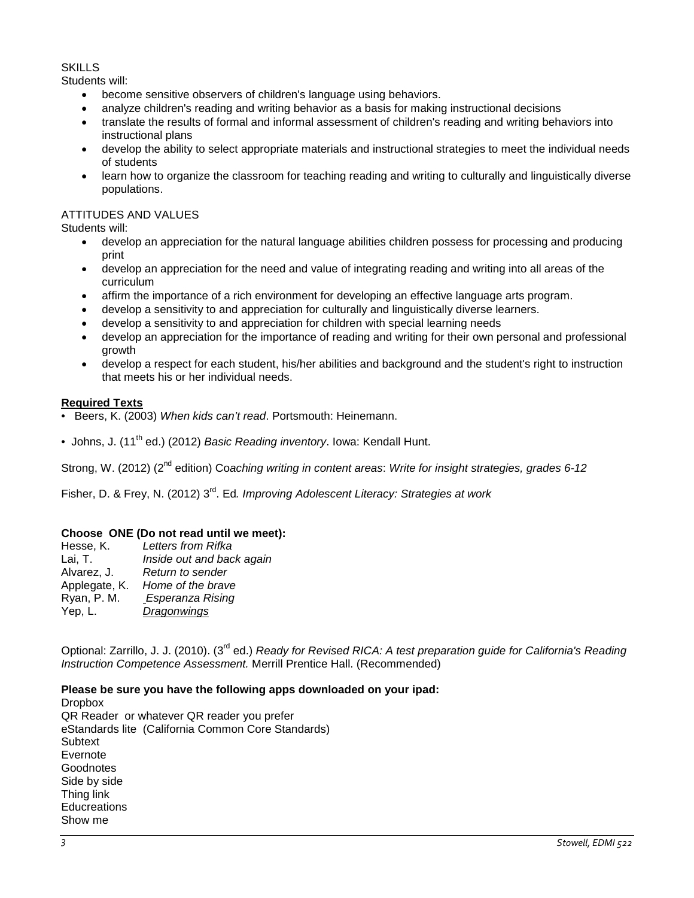### SKILLS

Students will:

- become sensitive observers of children's language using behaviors.
- analyze children's reading and writing behavior as a basis for making instructional decisions
- translate the results of formal and informal assessment of children's reading and writing behaviors into instructional plans
- develop the ability to select appropriate materials and instructional strategies to meet the individual needs of students
- learn how to organize the classroom for teaching reading and writing to culturally and linguistically diverse populations.

# ATTITUDES AND VALUES

Students will:

- develop an appreciation for the natural language abilities children possess for processing and producing print
- develop an appreciation for the need and value of integrating reading and writing into all areas of the curriculum
- affirm the importance of a rich environment for developing an effective language arts program.
- develop a sensitivity to and appreciation for culturally and linguistically diverse learners.
- develop a sensitivity to and appreciation for children with special learning needs
- develop an appreciation for the importance of reading and writing for their own personal and professional growth
- develop a respect for each student, his/her abilities and background and the student's right to instruction that meets his or her individual needs.

### <span id="page-2-0"></span>**Required Texts**

- Beers, K. (2003) *When kids can't read*. Portsmouth: Heinemann.
- Johns, J. (11<sup>th</sup> ed.) (2012) *Basic Reading inventory*. Iowa: Kendall Hunt.

Strong, W. (2012) (2nd edition) Co*aching writing in content areas*: *Write for insight strategies, grades 6-12*

Fisher, D. & Frey, N. (2012) 3rd. Ed*. Improving Adolescent Literacy: Strategies at work*

# **Choose ONE (Do not read until we meet):**

| Hesse, K.     | Letters from Rifka        |
|---------------|---------------------------|
| Lai, T.       | Inside out and back again |
| Alvarez, J.   | Return to sender          |
| Applegate, K. | Home of the brave         |
| Ryan, P. M.   | Esperanza Rising          |
| Yep, L.       | Dragonwings               |
|               |                           |

Optional: Zarrillo, J. J. (2010). (3rd ed.) *Ready for Revised RICA: A test preparation guide for California's Reading Instruction Competence Assessment.* Merrill Prentice Hall. (Recommended)

# **Please be sure you have the following apps downloaded on your ipad:**

**Dropbox** QR Reader or whatever QR reader you prefer eStandards lite (California Common Core Standards) **Subtext** Evernote Goodnotes Side by side Thing link **Educreations** Show me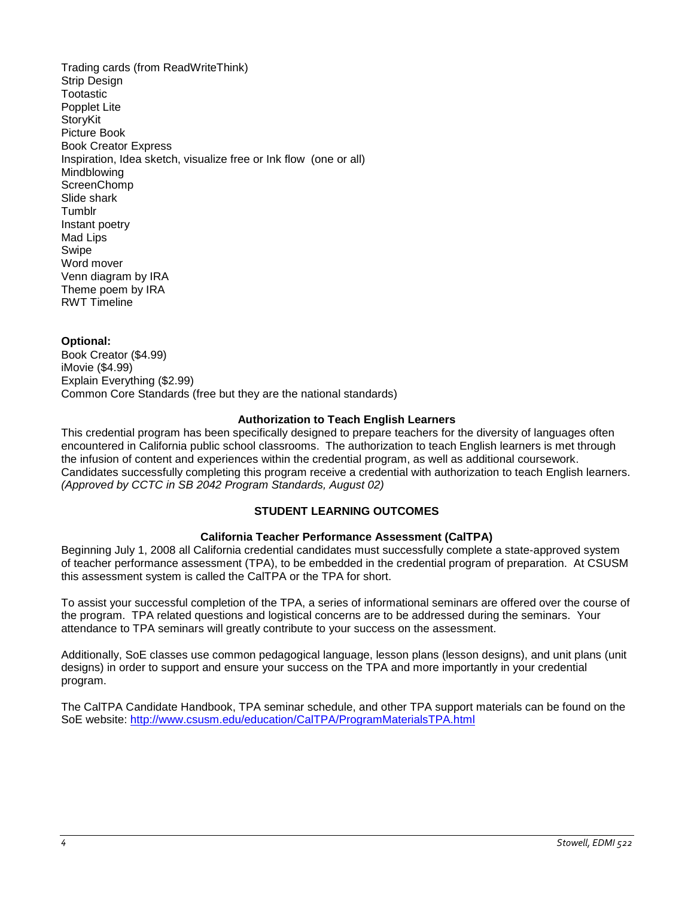Trading cards (from ReadWriteThink) Strip Design **Tootastic** Popplet Lite StoryKit Picture Book Book Creator Express Inspiration, Idea sketch, visualize free or Ink flow (one or all) Mindblowing **ScreenChomp** Slide shark **Tumblr** Instant poetry Mad Lips Swipe Word mover Venn diagram by IRA Theme poem by IRA RWT Timeline

### **Optional:**

Book Creator (\$4.99) iMovie (\$4.99) Explain Everything (\$2.99) Common Core Standards (free but they are the national standards)

### **Authorization to Teach English Learners**

<span id="page-3-0"></span>This credential program has been specifically designed to prepare teachers for the diversity of languages often encountered in California public school classrooms. The authorization to teach English learners is met through the infusion of content and experiences within the credential program, as well as additional coursework. Candidates successfully completing this program receive a credential with authorization to teach English learners. *(Approved by CCTC in SB 2042 Program Standards, August 02)*

# **STUDENT LEARNING OUTCOMES**

### **California Teacher Performance Assessment (CalTPA)**

<span id="page-3-2"></span><span id="page-3-1"></span>Beginning July 1, 2008 all California credential candidates must successfully complete a state-approved system of teacher performance assessment (TPA), to be embedded in the credential program of preparation. At CSUSM this assessment system is called the CalTPA or the TPA for short.

To assist your successful completion of the TPA, a series of informational seminars are offered over the course of the program. TPA related questions and logistical concerns are to be addressed during the seminars. Your attendance to TPA seminars will greatly contribute to your success on the assessment.

Additionally, SoE classes use common pedagogical language, lesson plans (lesson designs), and unit plans (unit designs) in order to support and ensure your success on the TPA and more importantly in your credential program.

<span id="page-3-3"></span>The CalTPA Candidate Handbook, TPA seminar schedule, and other TPA support materials can be found on the SoE website: <http://www.csusm.edu/education/CalTPA/ProgramMaterialsTPA.html>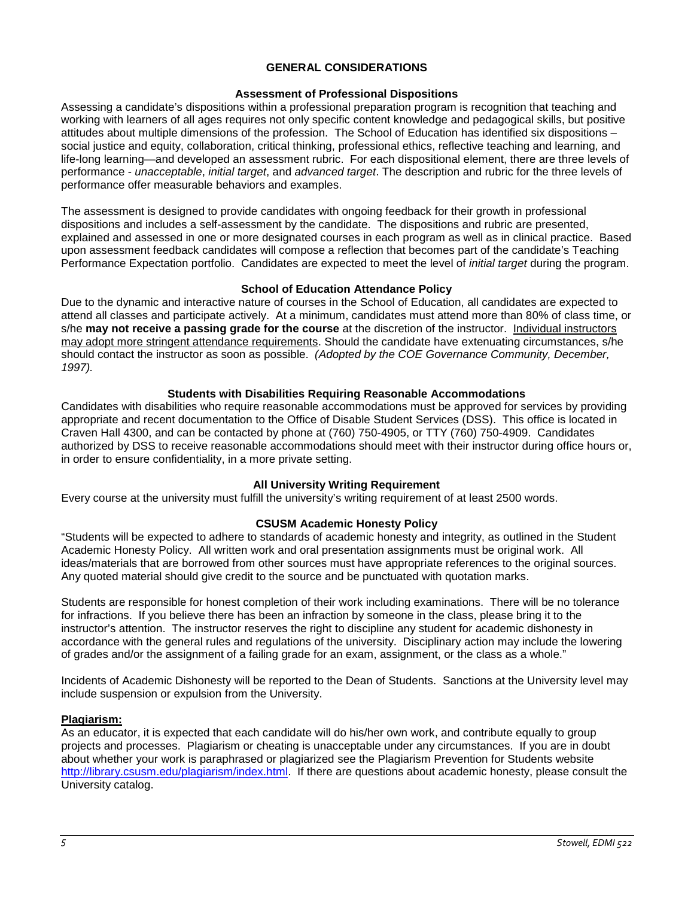# **GENERAL CONSIDERATIONS**

# **Assessment of Professional Dispositions**

<span id="page-4-0"></span>Assessing a candidate's dispositions within a professional preparation program is recognition that teaching and working with learners of all ages requires not only specific content knowledge and pedagogical skills, but positive attitudes about multiple dimensions of the profession. The School of Education has identified six dispositions – social justice and equity, collaboration, critical thinking, professional ethics, reflective teaching and learning, and life-long learning—and developed an assessment rubric. For each dispositional element, there are three levels of performance - *unacceptable*, *initial target*, and *advanced target*. The description and rubric for the three levels of performance offer measurable behaviors and examples.

The assessment is designed to provide candidates with ongoing feedback for their growth in professional dispositions and includes a self-assessment by the candidate. The dispositions and rubric are presented, explained and assessed in one or more designated courses in each program as well as in clinical practice. Based upon assessment feedback candidates will compose a reflection that becomes part of the candidate's Teaching Performance Expectation portfolio. Candidates are expected to meet the level of *initial target* during the program.

# **School of Education Attendance Policy**

<span id="page-4-1"></span>Due to the dynamic and interactive nature of courses in the School of Education, all candidates are expected to attend all classes and participate actively. At a minimum, candidates must attend more than 80% of class time, or s/he **may not receive a passing grade for the course** at the discretion of the instructor. Individual instructors may adopt more stringent attendance requirements. Should the candidate have extenuating circumstances, s/he should contact the instructor as soon as possible. *(Adopted by the COE Governance Community, December, 1997).*

# **Students with Disabilities Requiring Reasonable Accommodations**

<span id="page-4-2"></span>Candidates with disabilities who require reasonable accommodations must be approved for services by providing appropriate and recent documentation to the Office of Disable Student Services (DSS). This office is located in Craven Hall 4300, and can be contacted by phone at (760) 750-4905, or TTY (760) 750-4909. Candidates authorized by DSS to receive reasonable accommodations should meet with their instructor during office hours or, in order to ensure confidentiality, in a more private setting.

# **All University Writing Requirement**

<span id="page-4-3"></span>Every course at the university must fulfill the university's writing requirement of at least 2500 words.

# **CSUSM Academic Honesty Policy**

<span id="page-4-4"></span>"Students will be expected to adhere to standards of academic honesty and integrity, as outlined in the Student Academic Honesty Policy. All written work and oral presentation assignments must be original work. All ideas/materials that are borrowed from other sources must have appropriate references to the original sources. Any quoted material should give credit to the source and be punctuated with quotation marks.

Students are responsible for honest completion of their work including examinations. There will be no tolerance for infractions. If you believe there has been an infraction by someone in the class, please bring it to the instructor's attention. The instructor reserves the right to discipline any student for academic dishonesty in accordance with the general rules and regulations of the university. Disciplinary action may include the lowering of grades and/or the assignment of a failing grade for an exam, assignment, or the class as a whole."

Incidents of Academic Dishonesty will be reported to the Dean of Students. Sanctions at the University level may include suspension or expulsion from the University.

### <span id="page-4-5"></span>**Plagiarism:**

As an educator, it is expected that each candidate will do his/her own work, and contribute equally to group projects and processes. Plagiarism or cheating is unacceptable under any circumstances. If you are in doubt about whether your work is paraphrased or plagiarized see the Plagiarism Prevention for Students website [http://library.csusm.edu/plagiarism/index.html.](http://library.csusm.edu/plagiarism/index.html) If there are questions about academic honesty, please consult the University catalog.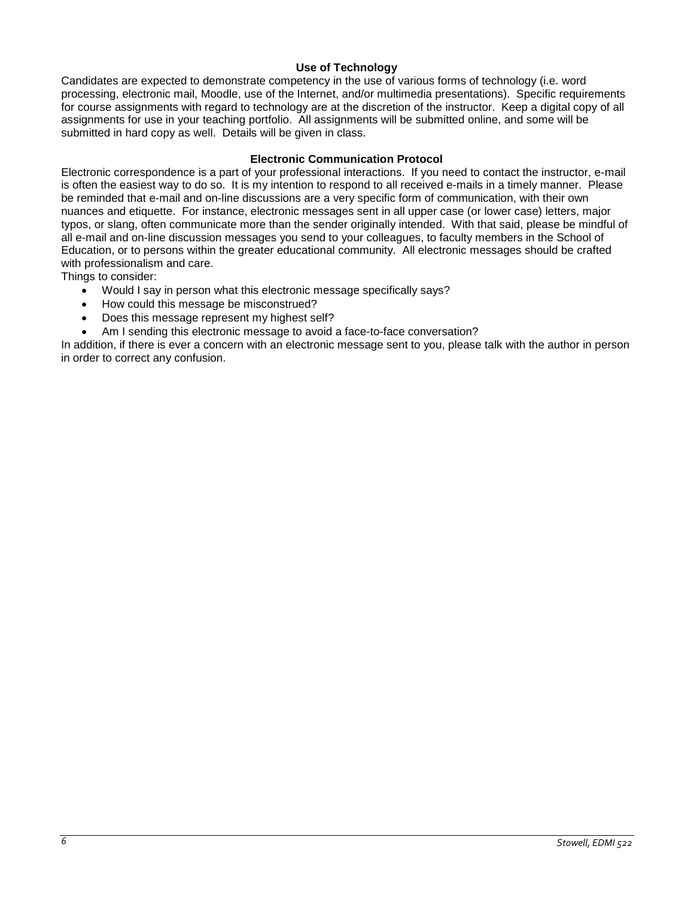# **Use of Technology**

<span id="page-5-0"></span>Candidates are expected to demonstrate competency in the use of various forms of technology (i.e. word processing, electronic mail, Moodle, use of the Internet, and/or multimedia presentations). Specific requirements for course assignments with regard to technology are at the discretion of the instructor. Keep a digital copy of all assignments for use in your teaching portfolio. All assignments will be submitted online, and some will be submitted in hard copy as well. Details will be given in class.

### **Electronic Communication Protocol**

<span id="page-5-1"></span>Electronic correspondence is a part of your professional interactions. If you need to contact the instructor, e-mail is often the easiest way to do so. It is my intention to respond to all received e-mails in a timely manner. Please be reminded that e-mail and on-line discussions are a very specific form of communication, with their own nuances and etiquette. For instance, electronic messages sent in all upper case (or lower case) letters, major typos, or slang, often communicate more than the sender originally intended. With that said, please be mindful of all e-mail and on-line discussion messages you send to your colleagues, to faculty members in the School of Education, or to persons within the greater educational community. All electronic messages should be crafted with professionalism and care.

Things to consider:

- Would I say in person what this electronic message specifically says?
- How could this message be misconstrued?
- Does this message represent my highest self?
- Am I sending this electronic message to avoid a face-to-face conversation?

<span id="page-5-2"></span>In addition, if there is ever a concern with an electronic message sent to you, please talk with the author in person in order to correct any confusion.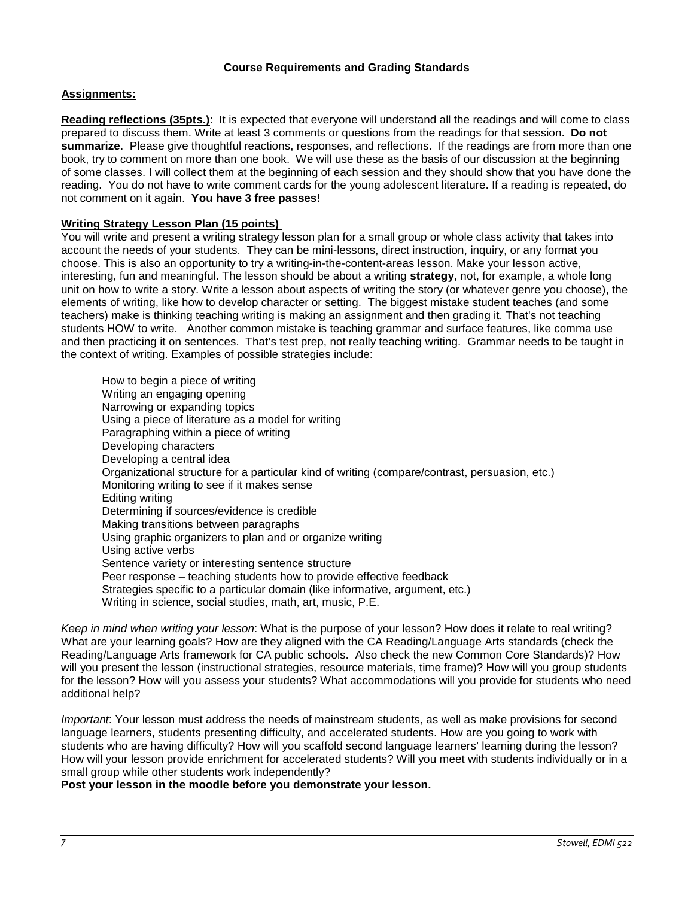# **Course Requirements and Grading Standards**

# <span id="page-6-0"></span>**Assignments:**

**Reading reflections (35pts.)**: It is expected that everyone will understand all the readings and will come to class prepared to discuss them. Write at least 3 comments or questions from the readings for that session. **Do not summarize**. Please give thoughtful reactions, responses, and reflections. If the readings are from more than one book, try to comment on more than one book. We will use these as the basis of our discussion at the beginning of some classes. I will collect them at the beginning of each session and they should show that you have done the reading. You do not have to write comment cards for the young adolescent literature. If a reading is repeated, do not comment on it again. **You have 3 free passes!**

# **Writing Strategy Lesson Plan (15 points)**

You will write and present a writing strategy lesson plan for a small group or whole class activity that takes into account the needs of your students. They can be mini-lessons, direct instruction, inquiry, or any format you choose. This is also an opportunity to try a writing-in-the-content-areas lesson. Make your lesson active, interesting, fun and meaningful. The lesson should be about a writing **strategy**, not, for example, a whole long unit on how to write a story. Write a lesson about aspects of writing the story (or whatever genre you choose), the elements of writing, like how to develop character or setting. The biggest mistake student teaches (and some teachers) make is thinking teaching writing is making an assignment and then grading it. That's not teaching students HOW to write. Another common mistake is teaching grammar and surface features, like comma use and then practicing it on sentences. That's test prep, not really teaching writing. Grammar needs to be taught in the context of writing. Examples of possible strategies include:

How to begin a piece of writing Writing an engaging opening Narrowing or expanding topics Using a piece of literature as a model for writing Paragraphing within a piece of writing Developing characters Developing a central idea Organizational structure for a particular kind of writing (compare/contrast, persuasion, etc.) Monitoring writing to see if it makes sense Editing writing Determining if sources/evidence is credible Making transitions between paragraphs Using graphic organizers to plan and or organize writing Using active verbs Sentence variety or interesting sentence structure Peer response – teaching students how to provide effective feedback Strategies specific to a particular domain (like informative, argument, etc.) Writing in science, social studies, math, art, music, P.E.

*Keep in mind when writing your lesson*: What is the purpose of your lesson? How does it relate to real writing? What are your learning goals? How are they aligned with the CA Reading/Language Arts standards (check the Reading/Language Arts framework for CA public schools. Also check the new Common Core Standards)? How will you present the lesson (instructional strategies, resource materials, time frame)? How will you group students for the lesson? How will you assess your students? What accommodations will you provide for students who need additional help?

*Important*: Your lesson must address the needs of mainstream students, as well as make provisions for second language learners, students presenting difficulty, and accelerated students. How are you going to work with students who are having difficulty? How will you scaffold second language learners' learning during the lesson? How will your lesson provide enrichment for accelerated students? Will you meet with students individually or in a small group while other students work independently?

**Post your lesson in the moodle before you demonstrate your lesson.**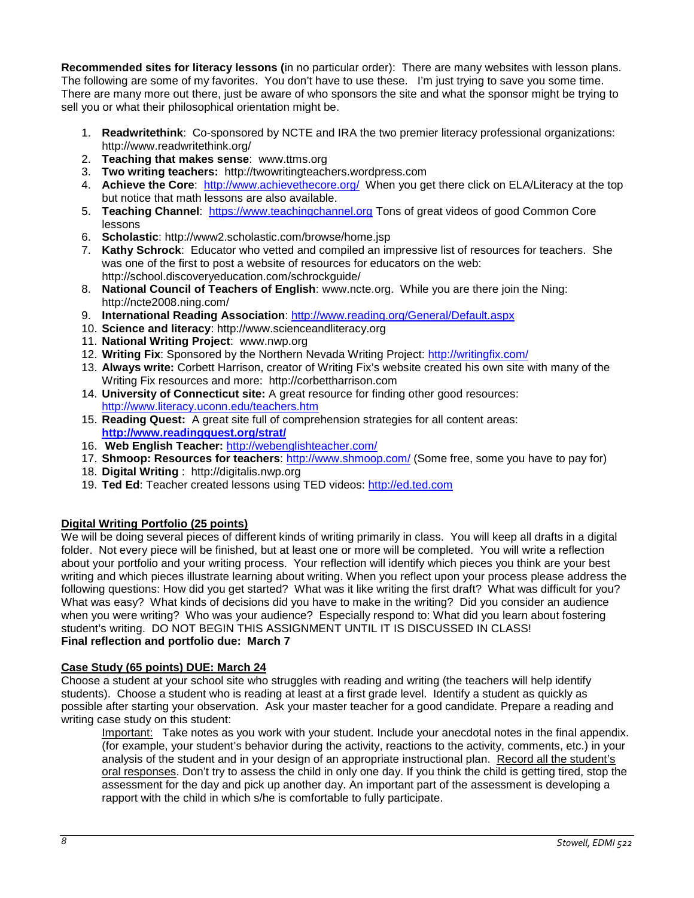**Recommended sites for literacy lessons (**in no particular order): There are many websites with lesson plans. The following are some of my favorites. You don't have to use these. I'm just trying to save you some time. There are many more out there, just be aware of who sponsors the site and what the sponsor might be trying to sell you or what their philosophical orientation might be.

- 1. **Readwritethink**: Co-sponsored by NCTE and IRA the two premier literacy professional organizations: http://www.readwritethink.org/
- 2. **Teaching that makes sense**: www.ttms.org
- 3. **Two writing teachers:** http://twowritingteachers.wordpress.com
- 4. **Achieve the Core**: <http://www.achievethecore.org/>When you get there click on ELA/Literacy at the top but notice that math lessons are also available.
- 5. **Teaching Channel**: [https://www.teachingchannel.org](https://www.teachingchannel.org/) Tons of great videos of good Common Core lessons
- 6. **Scholastic**: http://www2.scholastic.com/browse/home.jsp
- 7. **Kathy Schrock**: Educator who vetted and compiled an impressive list of resources for teachers. She was one of the first to post a website of resources for educators on the web: http://school.discoveryeducation.com/schrockguide/
- 8. **National Council of Teachers of English**: www.ncte.org. While you are there join the Ning: http://ncte2008.ning.com/
- 9. **International Reading Association**:<http://www.reading.org/General/Default.aspx>
- 10. **Science and literacy**: http://www.scienceandliteracy.org
- 11. **National Writing Project**: www.nwp.org
- 12. **Writing Fix**: Sponsored by the Northern Nevada Writing Project:<http://writingfix.com/>
- 13. **Always write:** Corbett Harrison, creator of Writing Fix's website created his own site with many of the Writing Fix resources and more: http://corbettharrison.com
- 14. **University of Connecticut site:** A great resource for finding other good resources: <http://www.literacy.uconn.edu/teachers.htm>
- 15. **Reading Quest:** A great site full of comprehension strategies for all content areas: **<http://www.readingquest.org/strat/>**
- 16. **Web English Teacher:** <http://webenglishteacher.com/>
- 17. **Shmoop: Resources for teachers**:<http://www.shmoop.com/> (Some free, some you have to pay for)
- 18. **Digital Writing** : http://digitalis.nwp.org
- 19. **Ted Ed**: Teacher created lessons using TED videos: [http://ed.ted.com](http://ed.ted.com/)

# **Digital Writing Portfolio (25 points)**

We will be doing several pieces of different kinds of writing primarily in class. You will keep all drafts in a digital folder. Not every piece will be finished, but at least one or more will be completed. You will write a reflection about your portfolio and your writing process. Your reflection will identify which pieces you think are your best writing and which pieces illustrate learning about writing. When you reflect upon your process please address the following questions: How did you get started? What was it like writing the first draft? What was difficult for you? What was easy? What kinds of decisions did you have to make in the writing? Did you consider an audience when you were writing? Who was your audience? Especially respond to: What did you learn about fostering student's writing. DO NOT BEGIN THIS ASSIGNMENT UNTIL IT IS DISCUSSED IN CLASS! **Final reflection and portfolio due: March 7**

# **Case Study (65 points) DUE: March 24**

Choose a student at your school site who struggles with reading and writing (the teachers will help identify students). Choose a student who is reading at least at a first grade level. Identify a student as quickly as possible after starting your observation. Ask your master teacher for a good candidate. Prepare a reading and writing case study on this student:

Important: Take notes as you work with your student. Include your anecdotal notes in the final appendix. (for example, your student's behavior during the activity, reactions to the activity, comments, etc.) in your analysis of the student and in your design of an appropriate instructional plan. Record all the student's oral responses. Don't try to assess the child in only one day. If you think the child is getting tired, stop the assessment for the day and pick up another day. An important part of the assessment is developing a rapport with the child in which s/he is comfortable to fully participate.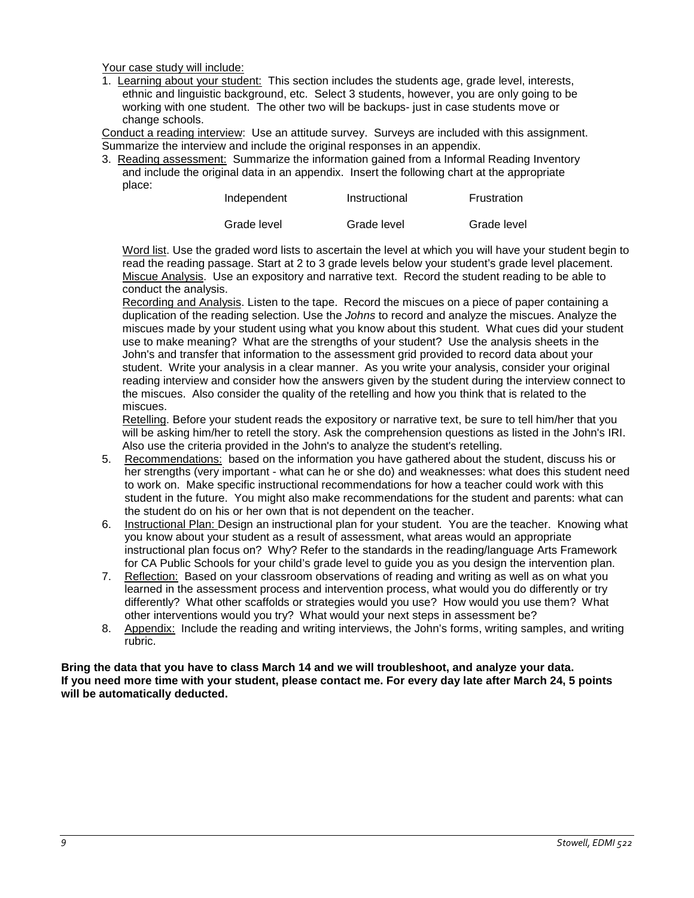Your case study will include:

1. Learning about your student: This section includes the students age, grade level, interests, ethnic and linguistic background, etc. Select 3 students, however, you are only going to be working with one student. The other two will be backups- just in case students move or change schools.

Conduct a reading interview: Use an attitude survey. Surveys are included with this assignment. Summarize the interview and include the original responses in an appendix.

3. Reading assessment: Summarize the information gained from a Informal Reading Inventory and include the original data in an appendix. Insert the following chart at the appropriate place:

| Independent | Instructional | Frustration |
|-------------|---------------|-------------|
| Grade level | Grade level   | Grade level |

Word list. Use the graded word lists to ascertain the level at which you will have your student begin to read the reading passage. Start at 2 to 3 grade levels below your student's grade level placement. Miscue Analysis. Use an expository and narrative text. Record the student reading to be able to conduct the analysis.

Recording and Analysis. Listen to the tape. Record the miscues on a piece of paper containing a duplication of the reading selection. Use the *Johns* to record and analyze the miscues. Analyze the miscues made by your student using what you know about this student. What cues did your student use to make meaning? What are the strengths of your student? Use the analysis sheets in the John's and transfer that information to the assessment grid provided to record data about your student. Write your analysis in a clear manner. As you write your analysis, consider your original reading interview and consider how the answers given by the student during the interview connect to the miscues. Also consider the quality of the retelling and how you think that is related to the miscues.

Retelling. Before your student reads the expository or narrative text, be sure to tell him/her that you will be asking him/her to retell the story. Ask the comprehension questions as listed in the John's IRI. Also use the criteria provided in the John's to analyze the student's retelling.

- 5. Recommendations: based on the information you have gathered about the student, discuss his or her strengths (very important - what can he or she do) and weaknesses: what does this student need to work on. Make specific instructional recommendations for how a teacher could work with this student in the future. You might also make recommendations for the student and parents: what can the student do on his or her own that is not dependent on the teacher.
- 6. Instructional Plan: Design an instructional plan for your student. You are the teacher. Knowing what you know about your student as a result of assessment, what areas would an appropriate instructional plan focus on? Why? Refer to the standards in the reading/language Arts Framework for CA Public Schools for your child's grade level to guide you as you design the intervention plan.
- 7. Reflection: Based on your classroom observations of reading and writing as well as on what you learned in the assessment process and intervention process, what would you do differently or try differently? What other scaffolds or strategies would you use? How would you use them? What other interventions would you try? What would your next steps in assessment be?
- 8. Appendix: Include the reading and writing interviews, the John's forms, writing samples, and writing rubric.

**Bring the data that you have to class March 14 and we will troubleshoot, and analyze your data. If you need more time with your student, please contact me. For every day late after March 24, 5 points will be automatically deducted.**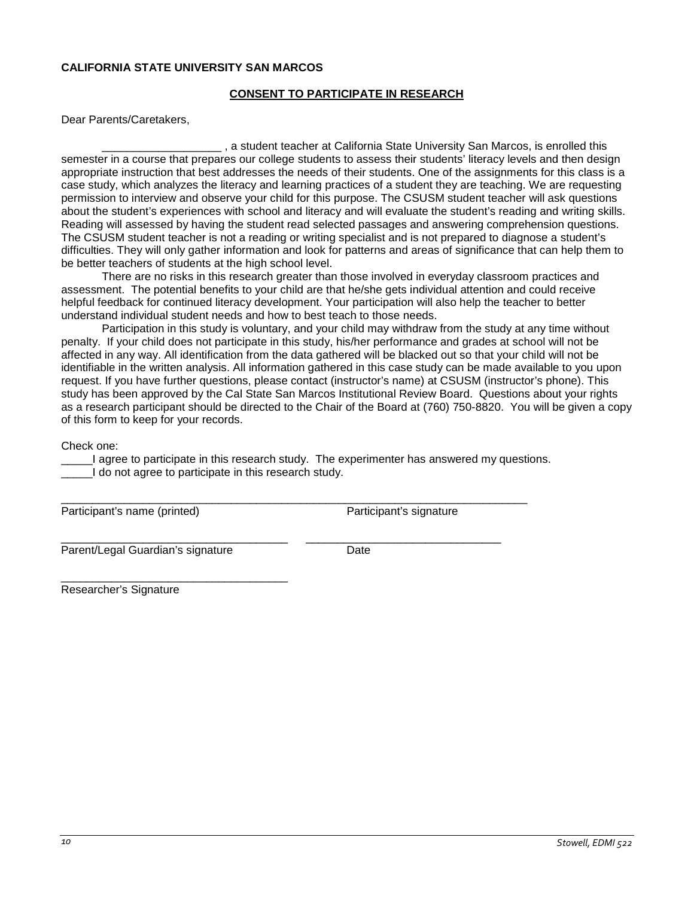#### <span id="page-9-0"></span>**CALIFORNIA STATE UNIVERSITY SAN MARCOS**

### **CONSENT TO PARTICIPATE IN RESEARCH**

Dear Parents/Caretakers,

, a student teacher at California State University San Marcos, is enrolled this semester in a course that prepares our college students to assess their students' literacy levels and then design appropriate instruction that best addresses the needs of their students. One of the assignments for this class is a case study, which analyzes the literacy and learning practices of a student they are teaching. We are requesting permission to interview and observe your child for this purpose. The CSUSM student teacher will ask questions about the student's experiences with school and literacy and will evaluate the student's reading and writing skills. Reading will assessed by having the student read selected passages and answering comprehension questions. The CSUSM student teacher is not a reading or writing specialist and is not prepared to diagnose a student's difficulties. They will only gather information and look for patterns and areas of significance that can help them to be better teachers of students at the high school level.

There are no risks in this research greater than those involved in everyday classroom practices and assessment. The potential benefits to your child are that he/she gets individual attention and could receive helpful feedback for continued literacy development. Your participation will also help the teacher to better understand individual student needs and how to best teach to those needs.

Participation in this study is voluntary, and your child may withdraw from the study at any time without penalty. If your child does not participate in this study, his/her performance and grades at school will not be affected in any way. All identification from the data gathered will be blacked out so that your child will not be identifiable in the written analysis. All information gathered in this case study can be made available to you upon request. If you have further questions, please contact (instructor's name) at CSUSM (instructor's phone). This study has been approved by the Cal State San Marcos Institutional Review Board. Questions about your rights as a research participant should be directed to the Chair of the Board at (760) 750-8820. You will be given a copy of this form to keep for your records.

Check one:

\_\_\_\_\_I agree to participate in this research study. The experimenter has answered my questions. I do not agree to participate in this research study.

\_\_\_\_\_\_\_\_\_\_\_\_\_\_\_\_\_\_\_\_\_\_\_\_\_\_\_\_\_\_\_\_\_\_\_\_\_\_\_\_\_\_\_\_\_\_\_\_\_\_\_\_\_\_\_\_\_\_\_\_\_\_\_\_\_\_\_\_\_\_\_\_\_\_ Participant's name (printed) Participant's signature

\_\_\_\_\_\_\_\_\_\_\_\_\_\_\_\_\_\_\_\_\_\_\_\_\_\_\_\_\_\_\_\_\_\_\_\_ \_\_\_\_\_\_\_\_\_\_\_\_\_\_\_\_\_\_\_\_\_\_\_\_\_\_\_\_\_\_\_ Parent/Legal Guardian's signature Date

\_\_\_\_\_\_\_\_\_\_\_\_\_\_\_\_\_\_\_\_\_\_\_\_\_\_\_\_\_\_\_\_\_\_\_\_

Researcher's Signature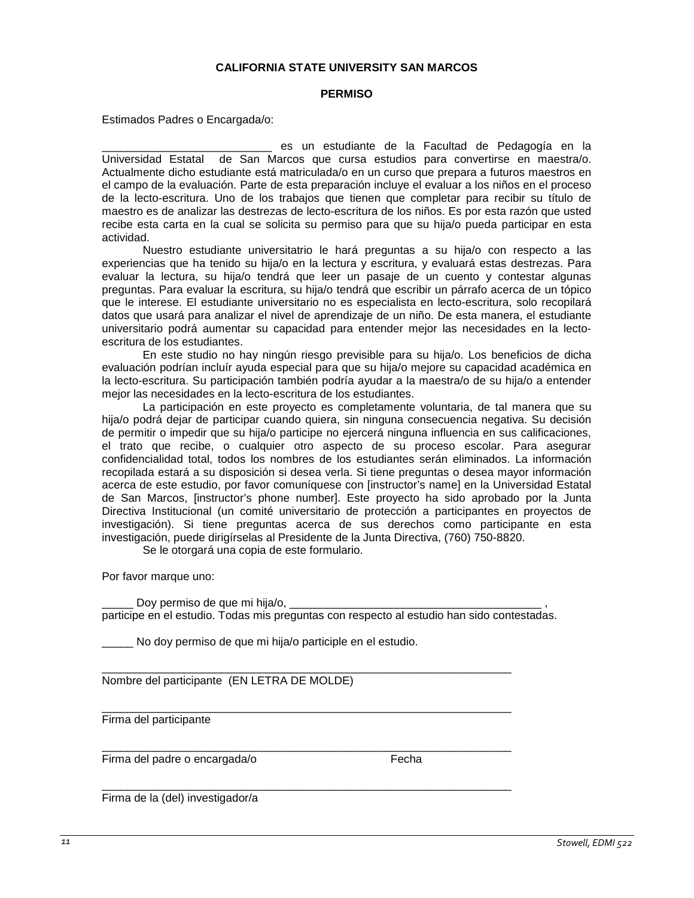#### **CALIFORNIA STATE UNIVERSITY SAN MARCOS**

#### **PERMISO**

Estimados Padres o Encargada/o:

es un estudiante de la Facultad de Pedagogía en la Universidad Estatal de San Marcos que cursa estudios para convertirse en maestra/o. Actualmente dicho estudiante está matriculada/o en un curso que prepara a futuros maestros en el campo de la evaluación. Parte de esta preparación incluye el evaluar a los niños en el proceso de la lecto-escritura. Uno de los trabajos que tienen que completar para recibir su título de maestro es de analizar las destrezas de lecto-escritura de los niños. Es por esta razón que usted recibe esta carta en la cual se solicita su permiso para que su hija/o pueda participar en esta actividad.

Nuestro estudiante universitatrio le hará preguntas a su hija/o con respecto a las experiencias que ha tenido su hija/o en la lectura y escritura, y evaluará estas destrezas. Para evaluar la lectura, su hija/o tendrá que leer un pasaje de un cuento y contestar algunas preguntas. Para evaluar la escritura, su hija/o tendrá que escribir un párrafo acerca de un tópico que le interese. El estudiante universitario no es especialista en lecto-escritura, solo recopilará datos que usará para analizar el nivel de aprendizaje de un niño. De esta manera, el estudiante universitario podrá aumentar su capacidad para entender mejor las necesidades en la lectoescritura de los estudiantes.

En este studio no hay ningún riesgo previsible para su hija/o. Los beneficios de dicha evaluación podrían incluír ayuda especial para que su hija/o mejore su capacidad académica en la lecto-escritura. Su participación también podría ayudar a la maestra/o de su hija/o a entender mejor las necesidades en la lecto-escritura de los estudiantes.

La participación en este proyecto es completamente voluntaria, de tal manera que su hija/o podrá dejar de participar cuando quiera, sin ninguna consecuencia negativa. Su decisión de permitir o impedir que su hija/o participe no ejercerá ninguna influencia en sus calificaciones, el trato que recibe, o cualquier otro aspecto de su proceso escolar. Para asegurar confidencialidad total, todos los nombres de los estudiantes serán eliminados. La información recopilada estará a su disposición si desea verla. Si tiene preguntas o desea mayor información acerca de este estudio, por favor comuníquese con [instructor's name] en la Universidad Estatal de San Marcos, [instructor's phone number]. Este proyecto ha sido aprobado por la Junta Directiva Institucional (un comité universitario de protección a participantes en proyectos de investigación). Si tiene preguntas acerca de sus derechos como participante en esta investigación, puede dirigírselas al Presidente de la Junta Directiva, (760) 750-8820.

Se le otorgará una copia de este formulario.

Por favor marque uno:

Doy permiso de que mi hija/o, participe en el estudio. Todas mis preguntas con respecto al estudio han sido contestadas.

\_\_\_\_\_\_\_\_\_\_\_\_\_\_\_\_\_\_\_\_\_\_\_\_\_\_\_\_\_\_\_\_\_\_\_\_\_\_\_\_\_\_\_\_\_\_\_\_\_\_\_\_\_\_\_\_\_\_\_\_\_\_\_\_\_

\_\_\_\_\_\_\_\_\_\_\_\_\_\_\_\_\_\_\_\_\_\_\_\_\_\_\_\_\_\_\_\_\_\_\_\_\_\_\_\_\_\_\_\_\_\_\_\_\_\_\_\_\_\_\_\_\_\_\_\_\_\_\_\_\_

No doy permiso de que mi hija/o participle en el estudio.

\_\_\_\_\_\_\_\_\_\_\_\_\_\_\_\_\_\_\_\_\_\_\_\_\_\_\_\_\_\_\_\_\_\_\_\_\_\_\_\_\_\_\_\_\_\_\_\_\_\_\_\_\_\_\_\_\_\_\_\_\_\_\_\_\_ Nombre del participante (EN LETRA DE MOLDE)

Firma del participante

\_\_\_\_\_\_\_\_\_\_\_\_\_\_\_\_\_\_\_\_\_\_\_\_\_\_\_\_\_\_\_\_\_\_\_\_\_\_\_\_\_\_\_\_\_\_\_\_\_\_\_\_\_\_\_\_\_\_\_\_\_\_\_\_\_ Firma del padre o encargada/o Fecha

Firma de la (del) investigador/a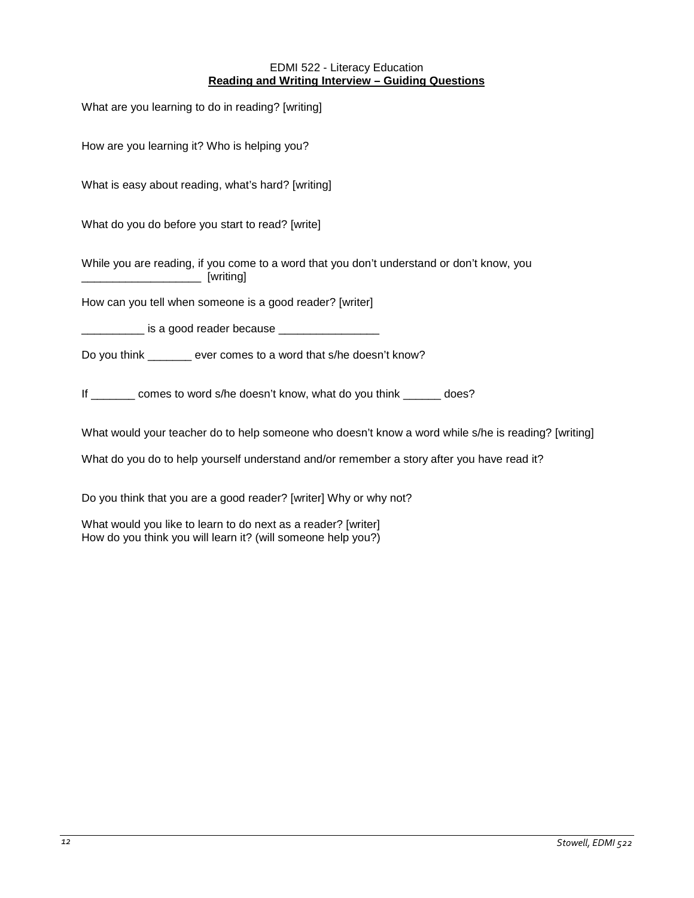### EDMI 522 - Literacy Education **Reading and Writing Interview – Guiding Questions**

<span id="page-11-0"></span>

| What are you learning to do in reading? [writing]                                                                                    |
|--------------------------------------------------------------------------------------------------------------------------------------|
| How are you learning it? Who is helping you?                                                                                         |
| What is easy about reading, what's hard? [writing]                                                                                   |
| What do you do before you start to read? [write]                                                                                     |
| While you are reading, if you come to a word that you don't understand or don't know, you<br>_____________________________ [writing] |
| How can you tell when someone is a good reader? [writer]                                                                             |
| <u>_____________</u> is a good reader because ___________________                                                                    |
| Do you think ______ ever comes to a word that s/he doesn't know?                                                                     |
| If _______ comes to word s/he doesn't know, what do you think _____ does?                                                            |
| What would your teacher do to help someone who doesn't know a word while s/he is reading? [writing]                                  |

What do you do to help yourself understand and/or remember a story after you have read it?

Do you think that you are a good reader? [writer] Why or why not?

What would you like to learn to do next as a reader? [writer] How do you think you will learn it? (will someone help you?)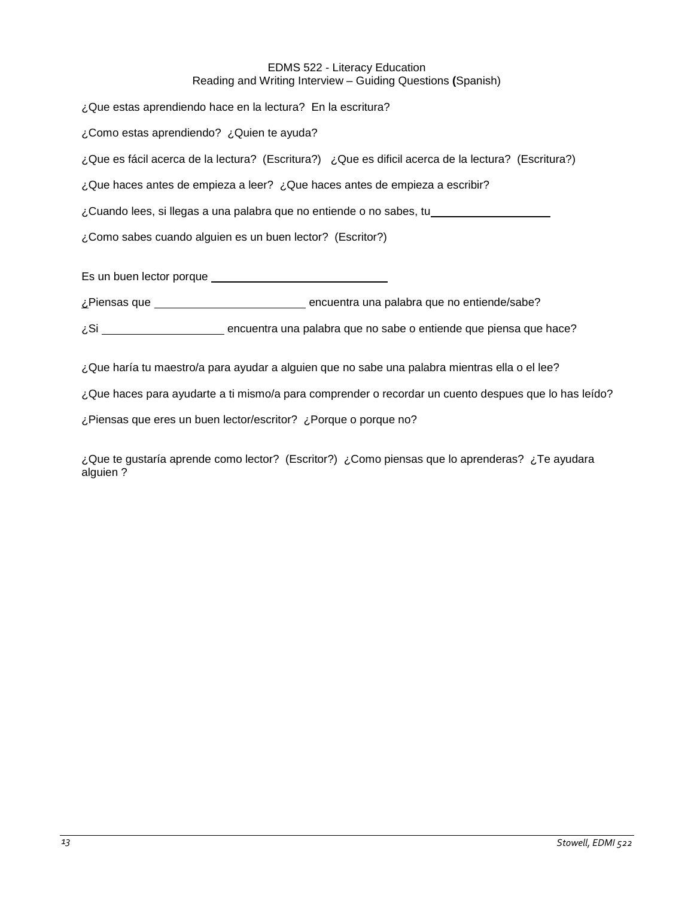### EDMS 522 - Literacy Education Reading and Writing Interview – Guiding Questions **(**Spanish)

¿Que estas aprendiendo hace en la lectura? En la escritura? ¿Como estas aprendiendo? ¿Quien te ayuda? ¿Que es fácil acerca de la lectura? (Escritura?) ¿Que es dificil acerca de la lectura? (Escritura?) ¿Que haces antes de empieza a leer? ¿Que haces antes de empieza a escribir? ¿Cuando lees, si llegas a una palabra que no entiende o no sabes, tu ¿Como sabes cuando alguien es un buen lector? (Escritor?) Es un buen lector porque

¿Piensas que \_\_\_\_\_\_\_\_\_\_\_\_\_\_\_\_\_\_\_\_\_\_\_\_\_\_\_\_\_\_\_\_ encuentra una palabra que no entiende/sabe?

¿Si encuentra una palabra que no sabe o entiende que piensa que hace?

¿Que haría tu maestro/a para ayudar a alguien que no sabe una palabra mientras ella o el lee?

¿Que haces para ayudarte a ti mismo/a para comprender o recordar un cuento despues que lo has leído?

¿Piensas que eres un buen lector/escritor? ¿Porque o porque no?

¿Que te gustaría aprende como lector? (Escritor?) ¿Como piensas que lo aprenderas? ¿Te ayudara alguien ?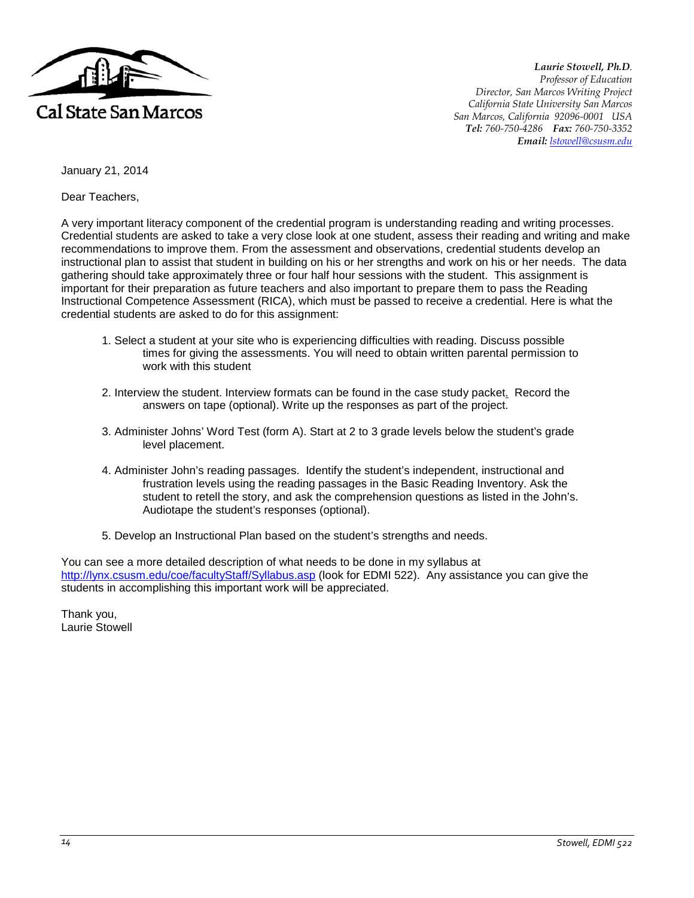

*Laurie Stowell, Ph.D. Professor of Education Director, San Marcos Writing Project California State University San Marcos San Marcos, California 92096-0001 USA Tel: 760-750-4286 Fax: 760-750-3352 Email: [lstowell@csusm.edu](mailto:lstowell@csusm.edu)*

January 21, 2014

Dear Teachers,

A very important literacy component of the credential program is understanding reading and writing processes. Credential students are asked to take a very close look at one student, assess their reading and writing and make recommendations to improve them. From the assessment and observations, credential students develop an instructional plan to assist that student in building on his or her strengths and work on his or her needs. The data gathering should take approximately three or four half hour sessions with the student. This assignment is important for their preparation as future teachers and also important to prepare them to pass the Reading Instructional Competence Assessment (RICA), which must be passed to receive a credential. Here is what the credential students are asked to do for this assignment:

- 1. Select a student at your site who is experiencing difficulties with reading. Discuss possible times for giving the assessments. You will need to obtain written parental permission to work with this student
- 2. Interview the student. Interview formats can be found in the case study packet. Record the answers on tape (optional). Write up the responses as part of the project.
- 3. Administer Johns' Word Test (form A). Start at 2 to 3 grade levels below the student's grade level placement.
- 4. Administer John's reading passages. Identify the student's independent, instructional and frustration levels using the reading passages in the Basic Reading Inventory. Ask the student to retell the story, and ask the comprehension questions as listed in the John's. Audiotape the student's responses (optional).
- 5. Develop an Instructional Plan based on the student's strengths and needs.

You can see a more detailed description of what needs to be done in my syllabus at <http://lynx.csusm.edu/coe/facultyStaff/Syllabus.asp> (look for EDMI 522). Any assistance you can give the students in accomplishing this important work will be appreciated.

Thank you, Laurie Stowell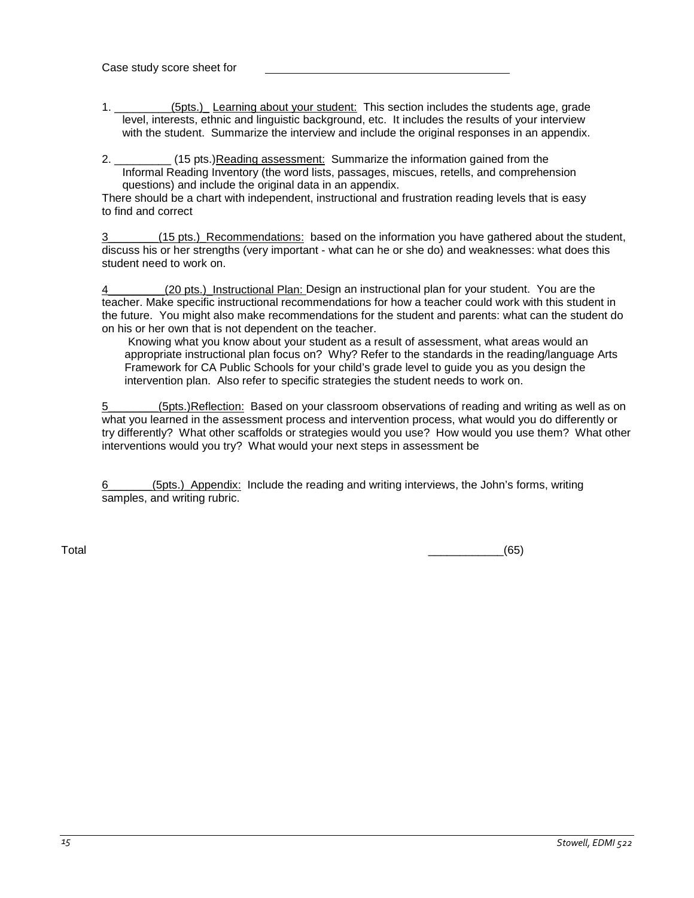- 1. \_\_\_\_\_\_\_\_\_(5pts.) Learning about your student: This section includes the students age, grade level, interests, ethnic and linguistic background, etc. It includes the results of your interview with the student. Summarize the interview and include the original responses in an appendix.
- 2. \_\_\_\_\_\_\_\_\_ (15 pts.)Reading assessment: Summarize the information gained from the Informal Reading Inventory (the word lists, passages, miscues, retells, and comprehension questions) and include the original data in an appendix.

There should be a chart with independent, instructional and frustration reading levels that is easy to find and correct

3\_\_\_\_\_\_\_\_(15 pts.)\_Recommendations: based on the information you have gathered about the student, discuss his or her strengths (very important - what can he or she do) and weaknesses: what does this student need to work on.

(20 pts.) Instructional Plan: Design an instructional plan for your student. You are the teacher. Make specific instructional recommendations for how a teacher could work with this student in the future. You might also make recommendations for the student and parents: what can the student do on his or her own that is not dependent on the teacher.

Knowing what you know about your student as a result of assessment, what areas would an appropriate instructional plan focus on? Why? Refer to the standards in the reading/language Arts Framework for CA Public Schools for your child's grade level to guide you as you design the intervention plan. Also refer to specific strategies the student needs to work on.

5\_\_\_\_\_\_\_\_(5pts.)Reflection: Based on your classroom observations of reading and writing as well as on what you learned in the assessment process and intervention process, what would you do differently or try differently? What other scaffolds or strategies would you use? How would you use them? What other interventions would you try? What would your next steps in assessment be

6\_\_\_\_\_\_\_(5pts.)\_Appendix: Include the reading and writing interviews, the John's forms, writing samples, and writing rubric.

Total \_\_\_\_\_\_\_\_\_\_\_\_(65)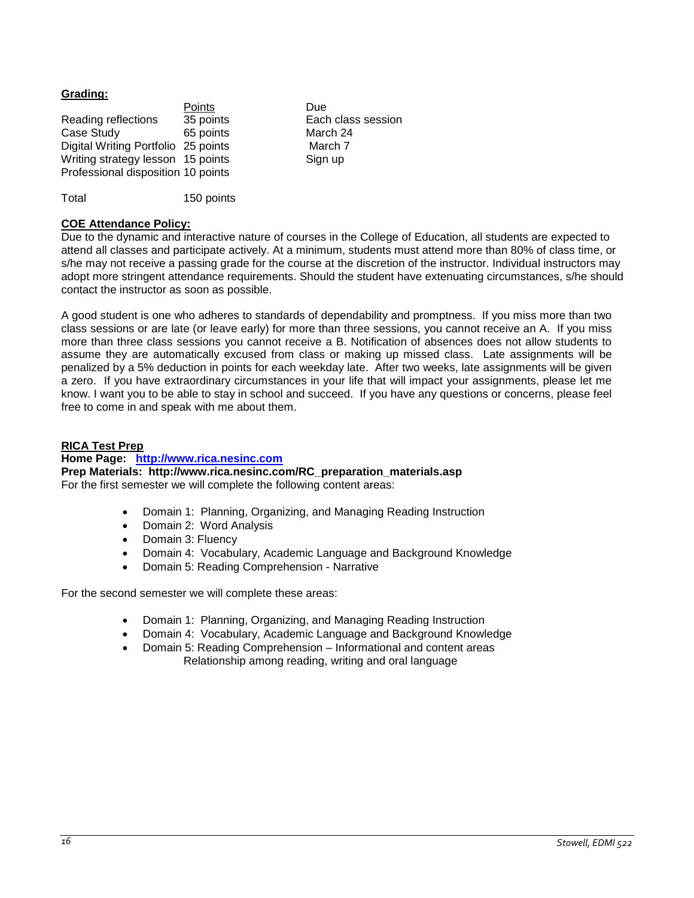# <span id="page-15-0"></span>**Grading:**

|                                     | Points    | Due                |
|-------------------------------------|-----------|--------------------|
| Reading reflections                 | 35 points | Each class session |
| Case Study                          | 65 points | March 24           |
| Digital Writing Portfolio 25 points |           | March 7            |
| Writing strategy lesson 15 points   |           | Sign up            |
| Professional disposition 10 points  |           |                    |
|                                     |           |                    |

Total 150 points

# <span id="page-15-1"></span>**COE Attendance Policy:**

Due to the dynamic and interactive nature of courses in the College of Education, all students are expected to attend all classes and participate actively. At a minimum, students must attend more than 80% of class time, or s/he may not receive a passing grade for the course at the discretion of the instructor. Individual instructors may adopt more stringent attendance requirements. Should the student have extenuating circumstances, s/he should contact the instructor as soon as possible.

A good student is one who adheres to standards of dependability and promptness. If you miss more than two class sessions or are late (or leave early) for more than three sessions, you cannot receive an A. If you miss more than three class sessions you cannot receive a B. Notification of absences does not allow students to assume they are automatically excused from class or making up missed class. Late assignments will be penalized by a 5% deduction in points for each weekday late. After two weeks, late assignments will be given a zero. If you have extraordinary circumstances in your life that will impact your assignments, please let me know. I want you to be able to stay in school and succeed. If you have any questions or concerns, please feel free to come in and speak with me about them.

# <span id="page-15-2"></span>**RICA Test Prep**

# **Home Page: [http://www.rica.nesinc.com](http://www.rica.nesinc.com/)**

**Prep Materials: http://www.rica.nesinc.com/RC\_preparation\_materials.asp** For the first semester we will complete the following content areas:

- Domain 1: Planning, Organizing, and Managing Reading Instruction
- Domain 2: Word Analysis
- Domain 3: Fluency
- Domain 4: Vocabulary, Academic Language and Background Knowledge
- Domain 5: Reading Comprehension Narrative

For the second semester we will complete these areas:

- Domain 1: Planning, Organizing, and Managing Reading Instruction
- Domain 4: Vocabulary, Academic Language and Background Knowledge
- Domain 5: Reading Comprehension Informational and content areas Relationship among reading, writing and oral language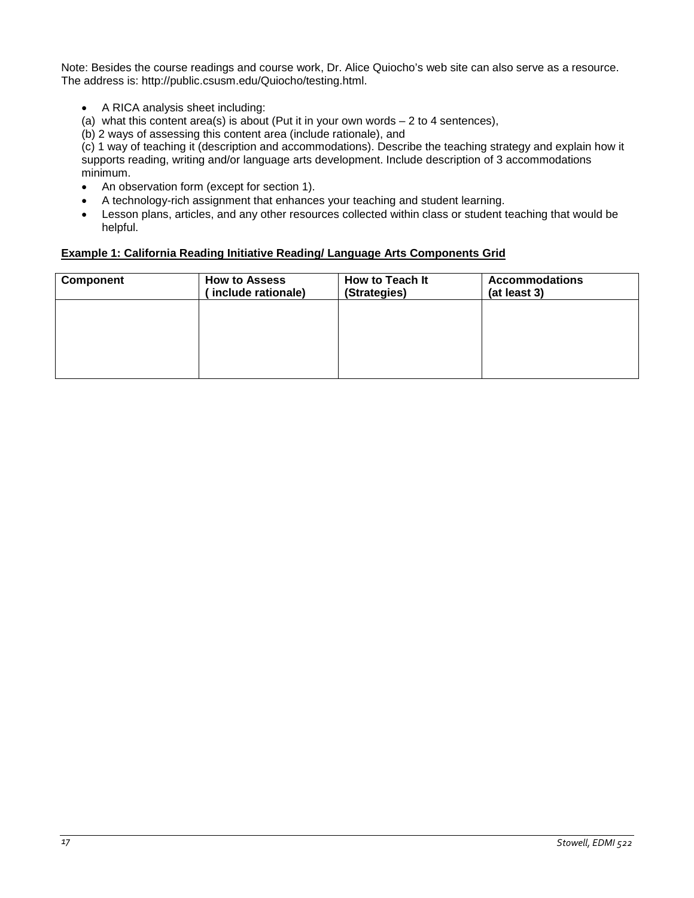Note: Besides the course readings and course work, Dr. Alice Quiocho's web site can also serve as a resource. The address is: http://public.csusm.edu/Quiocho/testing.html.

- A RICA analysis sheet including:
- (a) what this content area(s) is about (Put it in your own words  $-2$  to 4 sentences),
- (b) 2 ways of assessing this content area (include rationale), and

(c) 1 way of teaching it (description and accommodations). Describe the teaching strategy and explain how it supports reading, writing and/or language arts development. Include description of 3 accommodations minimum.

- An observation form (except for section 1).
- A technology-rich assignment that enhances your teaching and student learning.
- Lesson plans, articles, and any other resources collected within class or student teaching that would be helpful.

# <span id="page-16-0"></span>**Example 1: California Reading Initiative Reading/ Language Arts Components Grid**

| Component | <b>How to Assess</b><br>include rationale) | How to Teach It<br>(Strategies) | <b>Accommodations</b><br>(at least 3) |
|-----------|--------------------------------------------|---------------------------------|---------------------------------------|
|           |                                            |                                 |                                       |
|           |                                            |                                 |                                       |
|           |                                            |                                 |                                       |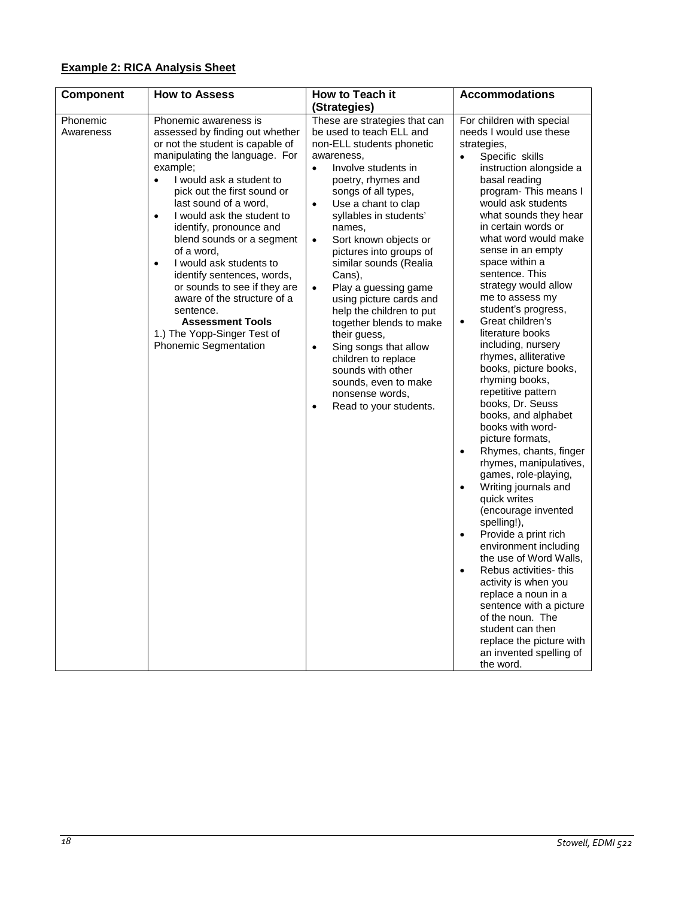# <span id="page-17-0"></span>**Example 2: RICA Analysis Sheet**

<span id="page-17-1"></span>

| Component             | <b>How to Assess</b>                                                                                                                                                                                                                                                                                                                                                                                                                                                                                                                                                                        | How to Teach it                                                                                                                                                                                                                                                                                                                                                                                                                                                                                                                                                                                                                                                               | <b>Accommodations</b>                                                                                                                                                                                                                                                                                                                                                                                                                                                                                                                                                                                                                                                                                                                                                                                                                                                                                                                                                                                                                                                                                                                                |
|-----------------------|---------------------------------------------------------------------------------------------------------------------------------------------------------------------------------------------------------------------------------------------------------------------------------------------------------------------------------------------------------------------------------------------------------------------------------------------------------------------------------------------------------------------------------------------------------------------------------------------|-------------------------------------------------------------------------------------------------------------------------------------------------------------------------------------------------------------------------------------------------------------------------------------------------------------------------------------------------------------------------------------------------------------------------------------------------------------------------------------------------------------------------------------------------------------------------------------------------------------------------------------------------------------------------------|------------------------------------------------------------------------------------------------------------------------------------------------------------------------------------------------------------------------------------------------------------------------------------------------------------------------------------------------------------------------------------------------------------------------------------------------------------------------------------------------------------------------------------------------------------------------------------------------------------------------------------------------------------------------------------------------------------------------------------------------------------------------------------------------------------------------------------------------------------------------------------------------------------------------------------------------------------------------------------------------------------------------------------------------------------------------------------------------------------------------------------------------------|
|                       |                                                                                                                                                                                                                                                                                                                                                                                                                                                                                                                                                                                             | (Strategies)                                                                                                                                                                                                                                                                                                                                                                                                                                                                                                                                                                                                                                                                  |                                                                                                                                                                                                                                                                                                                                                                                                                                                                                                                                                                                                                                                                                                                                                                                                                                                                                                                                                                                                                                                                                                                                                      |
| Phonemic<br>Awareness | Phonemic awareness is<br>assessed by finding out whether<br>or not the student is capable of<br>manipulating the language. For<br>example;<br>I would ask a student to<br>pick out the first sound or<br>last sound of a word,<br>I would ask the student to<br>$\bullet$<br>identify, pronounce and<br>blend sounds or a segment<br>of a word,<br>I would ask students to<br>$\bullet$<br>identify sentences, words,<br>or sounds to see if they are<br>aware of the structure of a<br>sentence.<br><b>Assessment Tools</b><br>1.) The Yopp-Singer Test of<br><b>Phonemic Segmentation</b> | These are strategies that can<br>be used to teach ELL and<br>non-ELL students phonetic<br>awareness,<br>Involve students in<br>$\bullet$<br>poetry, rhymes and<br>songs of all types,<br>Use a chant to clap<br>$\bullet$<br>syllables in students'<br>names,<br>Sort known objects or<br>$\bullet$<br>pictures into groups of<br>similar sounds (Realia<br>Cans),<br>Play a guessing game<br>$\bullet$<br>using picture cards and<br>help the children to put<br>together blends to make<br>their guess,<br>Sing songs that allow<br>$\bullet$<br>children to replace<br>sounds with other<br>sounds, even to make<br>nonsense words,<br>Read to your students.<br>$\bullet$ | For children with special<br>needs I would use these<br>strategies,<br>Specific skills<br>instruction alongside a<br>basal reading<br>program- This means I<br>would ask students<br>what sounds they hear<br>in certain words or<br>what word would make<br>sense in an empty<br>space within a<br>sentence. This<br>strategy would allow<br>me to assess my<br>student's progress,<br>Great children's<br>$\bullet$<br>literature books<br>including, nursery<br>rhymes, alliterative<br>books, picture books,<br>rhyming books,<br>repetitive pattern<br>books, Dr. Seuss<br>books, and alphabet<br>books with word-<br>picture formats,<br>Rhymes, chants, finger<br>$\bullet$<br>rhymes, manipulatives,<br>games, role-playing,<br>Writing journals and<br>$\bullet$<br>quick writes<br>(encourage invented<br>spelling!),<br>Provide a print rich<br>$\bullet$<br>environment including<br>the use of Word Walls,<br>Rebus activities- this<br>$\bullet$<br>activity is when you<br>replace a noun in a<br>sentence with a picture<br>of the noun. The<br>student can then<br>replace the picture with<br>an invented spelling of<br>the word. |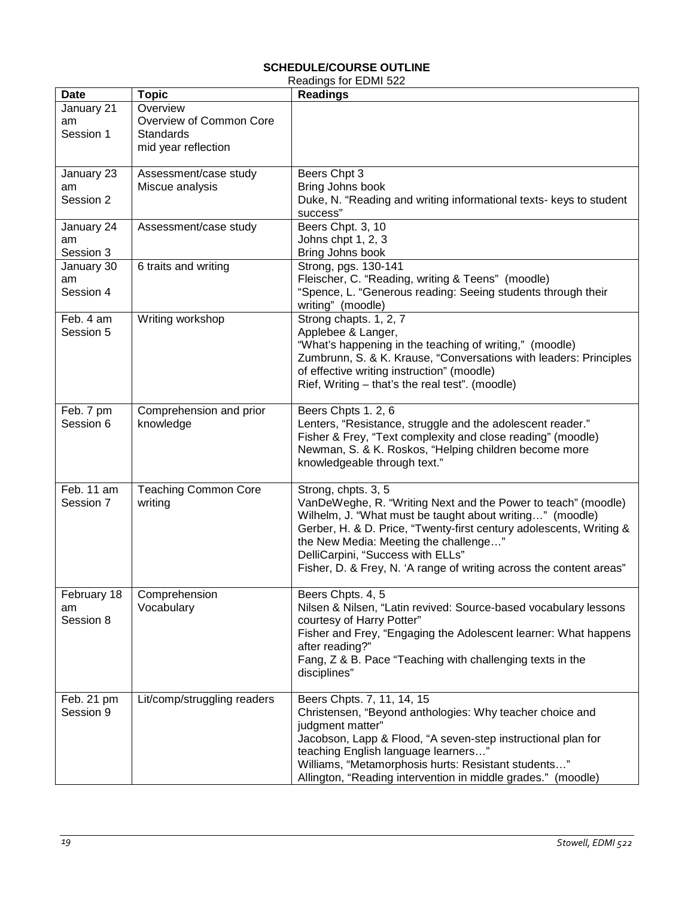#### **SCHEDULE/COURSE OUTLINE** Readings for EDMI 522

<span id="page-18-0"></span>

|             |                             | istadiiya iyi LDivii JZZ                                            |
|-------------|-----------------------------|---------------------------------------------------------------------|
| <b>Date</b> | <b>Topic</b>                | <b>Readings</b>                                                     |
| January 21  | Overview                    |                                                                     |
| am          | Overview of Common Core     |                                                                     |
| Session 1   | Standards                   |                                                                     |
|             | mid year reflection         |                                                                     |
|             |                             |                                                                     |
| January 23  | Assessment/case study       | Beers Chpt 3                                                        |
| am          | Miscue analysis             | Bring Johns book                                                    |
| Session 2   |                             | Duke, N. "Reading and writing informational texts- keys to student  |
|             |                             | success"                                                            |
| January 24  | Assessment/case study       | Beers Chpt. 3, 10                                                   |
| am          |                             | Johns chpt 1, 2, 3                                                  |
|             |                             |                                                                     |
| Session 3   |                             | Bring Johns book                                                    |
| January 30  | 6 traits and writing        | Strong, pgs. 130-141                                                |
| am          |                             | Fleischer, C. "Reading, writing & Teens" (moodle)                   |
| Session 4   |                             | "Spence, L. "Generous reading: Seeing students through their        |
|             |                             | writing" (moodle)                                                   |
| Feb. 4 am   | Writing workshop            | Strong chapts. 1, 2, 7                                              |
| Session 5   |                             | Applebee & Langer,                                                  |
|             |                             | "What's happening in the teaching of writing," (moodle)             |
|             |                             | Zumbrunn, S. & K. Krause, "Conversations with leaders: Principles   |
|             |                             | of effective writing instruction" (moodle)                          |
|             |                             | Rief, Writing - that's the real test". (moodle)                     |
|             |                             |                                                                     |
| Feb. 7 pm   | Comprehension and prior     | Beers Chpts 1.2, 6                                                  |
| Session 6   | knowledge                   | Lenters, "Resistance, struggle and the adolescent reader."          |
|             |                             | Fisher & Frey, "Text complexity and close reading" (moodle)         |
|             |                             |                                                                     |
|             |                             | Newman, S. & K. Roskos, "Helping children become more               |
|             |                             | knowledgeable through text."                                        |
|             |                             |                                                                     |
| Feb. 11 am  | <b>Teaching Common Core</b> | Strong, chpts. 3, 5                                                 |
| Session 7   | writing                     | VanDeWeghe, R. "Writing Next and the Power to teach" (moodle)       |
|             |                             | Wilhelm, J. "What must be taught about writing" (moodle)            |
|             |                             | Gerber, H. & D. Price, "Twenty-first century adolescents, Writing & |
|             |                             | the New Media: Meeting the challenge"                               |
|             |                             | DelliCarpini, "Success with ELLs"                                   |
|             |                             | Fisher, D. & Frey, N. 'A range of writing across the content areas" |
|             |                             |                                                                     |
| February 18 | Comprehension               | Beers Chpts. 4, 5                                                   |
| am          | Vocabulary                  | Nilsen & Nilsen, "Latin revived: Source-based vocabulary lessons    |
| Session 8   |                             | courtesy of Harry Potter"                                           |
|             |                             | Fisher and Frey, "Engaging the Adolescent learner: What happens     |
|             |                             | after reading?"                                                     |
|             |                             | Fang, Z & B. Pace "Teaching with challenging texts in the           |
|             |                             | disciplines"                                                        |
|             |                             |                                                                     |
| Feb. 21 pm  | Lit/comp/struggling readers | Beers Chpts. 7, 11, 14, 15                                          |
| Session 9   |                             | Christensen, "Beyond anthologies: Why teacher choice and            |
|             |                             |                                                                     |
|             |                             | judgment matter"                                                    |
|             |                             | Jacobson, Lapp & Flood, "A seven-step instructional plan for        |
|             |                             | teaching English language learners"                                 |
|             |                             | Williams, "Metamorphosis hurts: Resistant students"                 |
|             |                             | Allington, "Reading intervention in middle grades." (moodle)        |